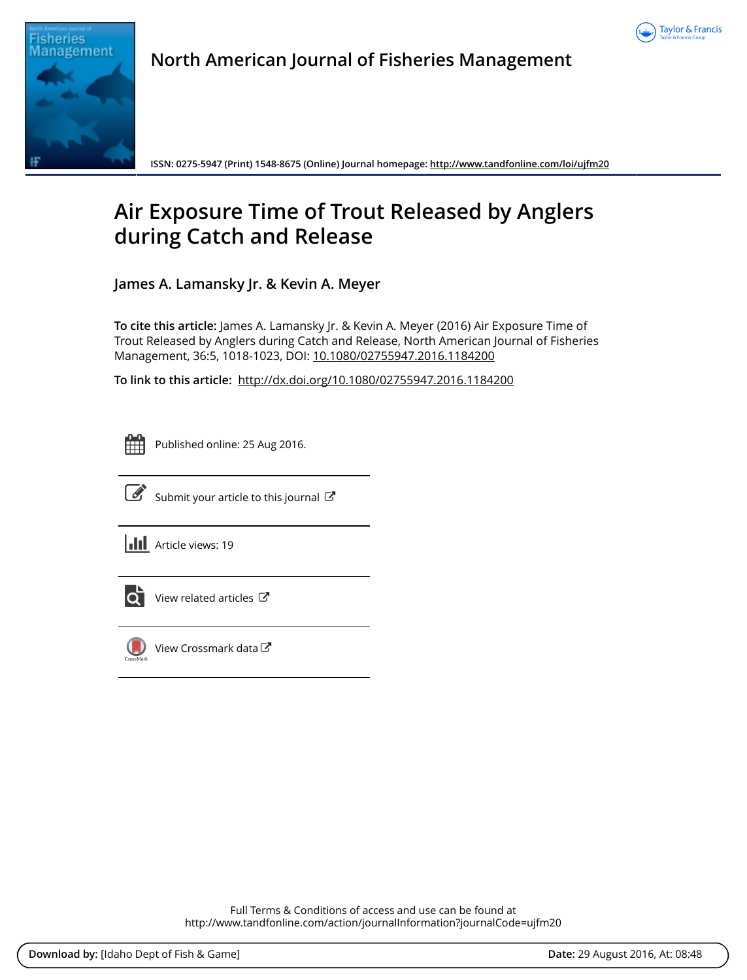



**North American Journal of Fisheries Management**

**ISSN: 0275-5947 (Print) 1548-8675 (Online) Journal homepage:<http://www.tandfonline.com/loi/ujfm20>**

# **Air Exposure Time of Trout Released by Anglers during Catch and Release**

**James A. Lamansky Jr. & Kevin A. Meyer**

**To cite this article:** James A. Lamansky Jr. & Kevin A. Meyer (2016) Air Exposure Time of Trout Released by Anglers during Catch and Release, North American Journal of Fisheries Management, 36:5, 1018-1023, DOI: [10.1080/02755947.2016.1184200](http://www.tandfonline.com/action/showCitFormats?doi=10.1080/02755947.2016.1184200)

**To link to this article:** <http://dx.doi.org/10.1080/02755947.2016.1184200>

Published online: 25 Aug 2016.



 $\overline{\mathscr{L}}$  [Submit your article to this journal](http://www.tandfonline.com/action/authorSubmission?journalCode=ujfm20&show=instructions)  $\mathbb{Z}$ 

**III** Article views: 19



 $\overrightarrow{Q}$  [View related articles](http://www.tandfonline.com/doi/mlt/10.1080/02755947.2016.1184200)  $\overrightarrow{C}$ 



[View Crossmark data](http://crossmark.crossref.org/dialog/?doi=10.1080/02755947.2016.1184200&domain=pdf&date_stamp=2016-08-25)<sup>で</sup>

Full Terms & Conditions of access and use can be found at <http://www.tandfonline.com/action/journalInformation?journalCode=ujfm20>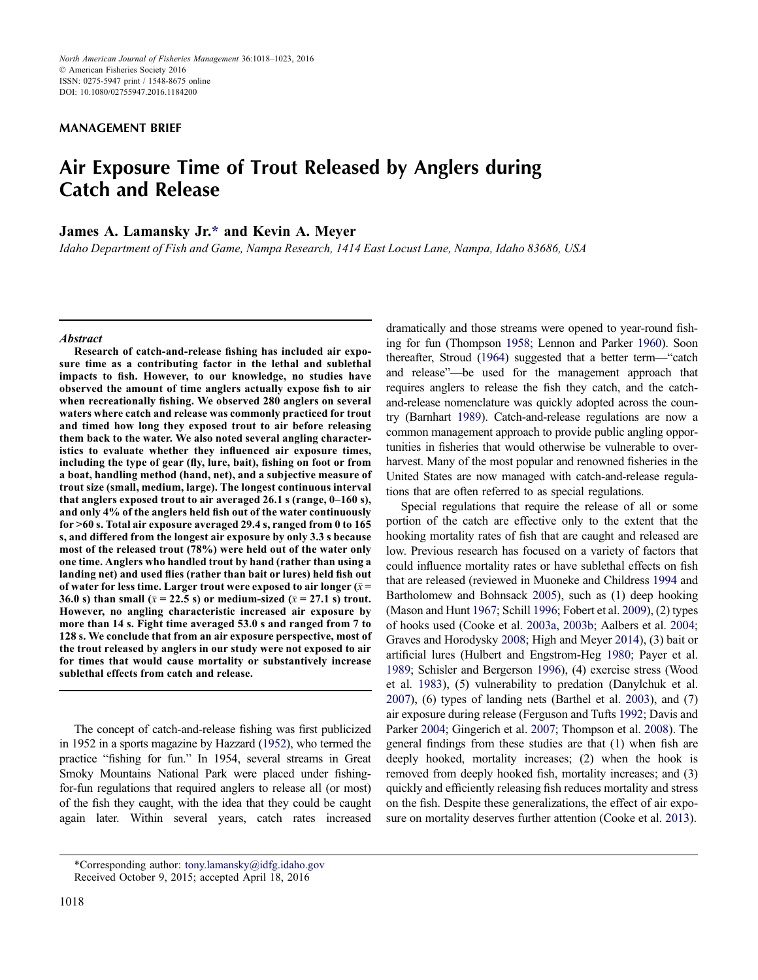MANAGEMENT BRIEF

## Air Exposure Time of Trout Released by Anglers during Catch and Release

### James A. Lamansky Jr.[\\*](#page-1-0) and Kevin A. Meyer

Idaho Department of Fish and Game, Nampa Research, 1414 East Locust Lane, Nampa, Idaho 83686, USA

#### **Abstract**

Research of catch-and-release fishing has included air exposure time as a contributing factor in the lethal and sublethal impacts to fish. However, to our knowledge, no studies have observed the amount of time anglers actually expose fish to air when recreationally fishing. We observed 280 anglers on several waters where catch and release was commonly practiced for trout and timed how long they exposed trout to air before releasing them back to the water. We also noted several angling characteristics to evaluate whether they influenced air exposure times, including the type of gear (fly, lure, bait), fishing on foot or from a boat, handling method (hand, net), and a subjective measure of trout size (small, medium, large). The longest continuous interval that anglers exposed trout to air averaged 26.1 s (range, 0–160 s), and only 4% of the anglers held fish out of the water continuously for >60 s. Total air exposure averaged 29.4 s, ranged from 0 to 165 s, and differed from the longest air exposure by only 3.3 s because most of the released trout (78%) were held out of the water only one time. Anglers who handled trout by hand (rather than using a landing net) and used flies (rather than bait or lures) held fish out of water for less time. Larger trout were exposed to air longer  $(\bar{x} =$ 36.0 s) than small ( $\bar{x}$  = 22.5 s) or medium-sized ( $\bar{x}$  = 27.1 s) trout. However, no angling characteristic increased air exposure by more than 14 s. Fight time averaged 53.0 s and ranged from 7 to 128 s. We conclude that from an air exposure perspective, most of the trout released by anglers in our study were not exposed to air for times that would cause mortality or substantively increase sublethal effects from catch and release.

The concept of catch-and-release fishing was first publicized in 1952 in a sports magazine by Hazzard [\(1952](#page-6-0)), who termed the practice "fishing for fun." In 1954, several streams in Great Smoky Mountains National Park were placed under fishingfor-fun regulations that required anglers to release all (or most) of the fish they caught, with the idea that they could be caught again later. Within several years, catch rates increased dramatically and those streams were opened to year-round fishing for fun (Thompson [1958](#page-6-1); Lennon and Parker [1960\)](#page-6-2). Soon thereafter, Stroud ([1964\)](#page-6-3) suggested that a better term—"catch and release"—be used for the management approach that requires anglers to release the fish they catch, and the catchand-release nomenclature was quickly adopted across the country (Barnhart [1989\)](#page-5-0). Catch-and-release regulations are now a common management approach to provide public angling opportunities in fisheries that would otherwise be vulnerable to overharvest. Many of the most popular and renowned fisheries in the United States are now managed with catch-and-release regulations that are often referred to as special regulations.

Special regulations that require the release of all or some portion of the catch are effective only to the extent that the hooking mortality rates of fish that are caught and released are low. Previous research has focused on a variety of factors that could influence mortality rates or have sublethal effects on fish that are released (reviewed in Muoneke and Childress [1994](#page-6-4) and Bartholomew and Bohnsack [2005\)](#page-5-1), such as (1) deep hooking (Mason and Hunt [1967](#page-6-5); Schill [1996](#page-6-6); Fobert et al. [2009](#page-6-7)), (2) types of hooks used (Cooke et al. [2003a,](#page-6-8) [2003b;](#page-6-9) Aalbers et al. [2004](#page-5-2); Graves and Horodysky [2008;](#page-6-10) High and Meyer [2014\)](#page-6-11), (3) bait or artificial lures (Hulbert and Engstrom-Heg [1980](#page-6-12); Payer et al. [1989;](#page-6-13) Schisler and Bergerson [1996](#page-6-14)), (4) exercise stress (Wood et al. [1983](#page-6-15)), (5) vulnerability to predation (Danylchuk et al. [2007\)](#page-6-16), (6) types of landing nets (Barthel et al. [2003](#page-5-3)), and (7) air exposure during release (Ferguson and Tufts [1992;](#page-6-17) Davis and Parker [2004;](#page-6-18) Gingerich et al. [2007;](#page-6-19) Thompson et al. [2008](#page-6-20)). The general findings from these studies are that (1) when fish are deeply hooked, mortality increases; (2) when the hook is removed from deeply hooked fish, mortality increases; and (3) quickly and efficiently releasing fish reduces mortality and stress on the fish. Despite these generalizations, the effect of air exposure on mortality deserves further attention (Cooke et al. [2013](#page-6-21)).

<span id="page-1-0"></span><sup>\*</sup>Corresponding author: tony.lamansky@idfg.idaho.gov Received October 9, 2015; accepted April 18, 2016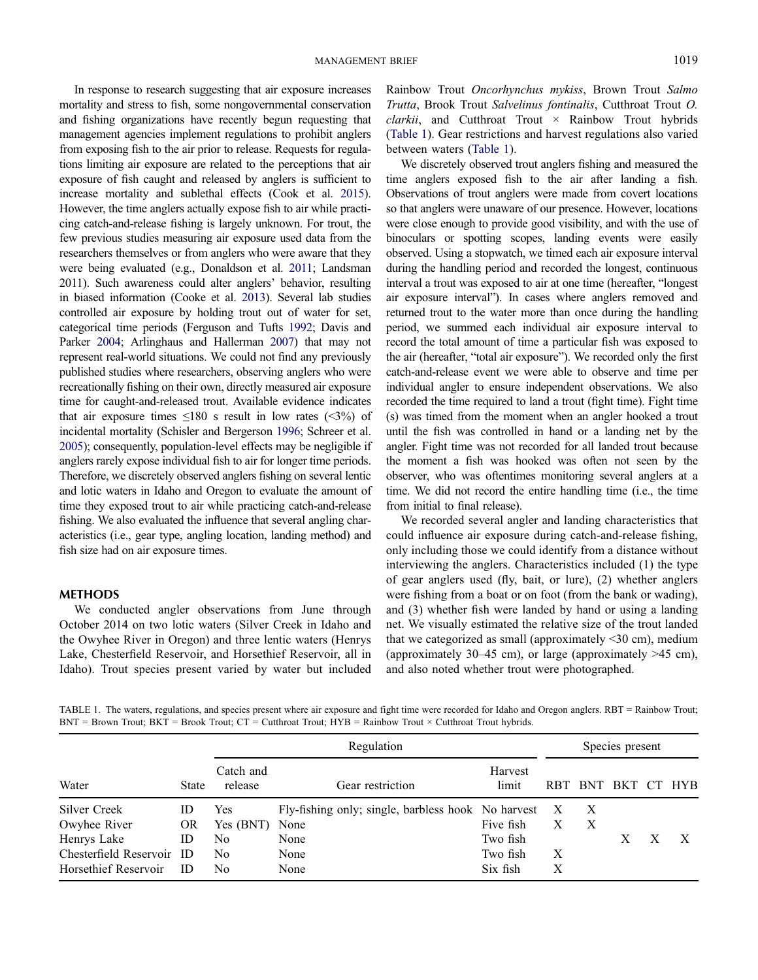In response to research suggesting that air exposure increases mortality and stress to fish, some nongovernmental conservation and fishing organizations have recently begun requesting that management agencies implement regulations to prohibit anglers from exposing fish to the air prior to release. Requests for regulations limiting air exposure are related to the perceptions that air exposure of fish caught and released by anglers is sufficient to increase mortality and sublethal effects (Cook et al. [2015](#page-6-22)). However, the time anglers actually expose fish to air while practicing catch-and-release fishing is largely unknown. For trout, the few previous studies measuring air exposure used data from the researchers themselves or from anglers who were aware that they were being evaluated (e.g., Donaldson et al. [2011;](#page-6-23) Landsman 2011). Such awareness could alter anglers' behavior, resulting in biased information (Cooke et al. [2013\)](#page-6-21). Several lab studies controlled air exposure by holding trout out of water for set, categorical time periods (Ferguson and Tufts [1992](#page-6-17); Davis and Parker [2004;](#page-6-18) Arlinghaus and Hallerman [2007](#page-5-4)) that may not represent real-world situations. We could not find any previously published studies where researchers, observing anglers who were recreationally fishing on their own, directly measured air exposure time for caught-and-released trout. Available evidence indicates that air exposure times  $\leq 180$  s result in low rates ( $\leq 3\%$ ) of incidental mortality (Schisler and Bergerson [1996](#page-6-14); Schreer et al. [2005](#page-6-24)); consequently, population-level effects may be negligible if anglers rarely expose individual fish to air for longer time periods. Therefore, we discretely observed anglers fishing on several lentic and lotic waters in Idaho and Oregon to evaluate the amount of time they exposed trout to air while practicing catch-and-release fishing. We also evaluated the influence that several angling characteristics (i.e., gear type, angling location, landing method) and fish size had on air exposure times.

#### METHODS

We conducted angler observations from June through October 2014 on two lotic waters (Silver Creek in Idaho and the Owyhee River in Oregon) and three lentic waters (Henrys Lake, Chesterfield Reservoir, and Horsethief Reservoir, all in Idaho). Trout species present varied by water but included Rainbow Trout Oncorhynchus mykiss, Brown Trout Salmo Trutta, Brook Trout Salvelinus fontinalis, Cutthroat Trout O.  $clarkii$ , and Cutthroat Trout  $\times$  Rainbow Trout hybrids [\(Table 1](#page-2-0)). Gear restrictions and harvest regulations also varied between waters [\(Table 1\)](#page-2-0).

We discretely observed trout anglers fishing and measured the time anglers exposed fish to the air after landing a fish. Observations of trout anglers were made from covert locations so that anglers were unaware of our presence. However, locations were close enough to provide good visibility, and with the use of binoculars or spotting scopes, landing events were easily observed. Using a stopwatch, we timed each air exposure interval during the handling period and recorded the longest, continuous interval a trout was exposed to air at one time (hereafter, "longest air exposure interval"). In cases where anglers removed and returned trout to the water more than once during the handling period, we summed each individual air exposure interval to record the total amount of time a particular fish was exposed to the air (hereafter, "total air exposure"). We recorded only the first catch-and-release event we were able to observe and time per individual angler to ensure independent observations. We also recorded the time required to land a trout (fight time). Fight time (s) was timed from the moment when an angler hooked a trout until the fish was controlled in hand or a landing net by the angler. Fight time was not recorded for all landed trout because the moment a fish was hooked was often not seen by the observer, who was oftentimes monitoring several anglers at a time. We did not record the entire handling time (i.e., the time from initial to final release).

We recorded several angler and landing characteristics that could influence air exposure during catch-and-release fishing, only including those we could identify from a distance without interviewing the anglers. Characteristics included (1) the type of gear anglers used (fly, bait, or lure), (2) whether anglers were fishing from a boat or on foot (from the bank or wading), and (3) whether fish were landed by hand or using a landing net. We visually estimated the relative size of the trout landed that we categorized as small (approximately <30 cm), medium (approximately 30–45 cm), or large (approximately >45 cm), and also noted whether trout were photographed.

<span id="page-2-0"></span>TABLE 1. The waters, regulations, and species present where air exposure and fight time were recorded for Idaho and Oregon anglers. RBT = Rainbow Trout; BNT = Brown Trout; BKT = Brook Trout; CT = Cutthroat Trout; HYB = Rainbow Trout × Cutthroat Trout hybrids.

|                           | State     | Regulation           |                                                      |                  |            | Species present           |         |  |        |  |
|---------------------------|-----------|----------------------|------------------------------------------------------|------------------|------------|---------------------------|---------|--|--------|--|
| Water                     |           | Catch and<br>release | Gear restriction                                     | Harvest<br>limit | <b>RBT</b> |                           | BNT BKT |  | CT HYB |  |
| Silver Creek              | ID        | Yes                  | Fly-fishing only; single, barbless hook No harvest X |                  |            | $\boldsymbol{\mathrm{X}}$ |         |  |        |  |
| Owyhee River              | <b>OR</b> | Yes (BNT)            | None                                                 | Five fish        | X          | $\boldsymbol{\mathrm{X}}$ |         |  |        |  |
| Henrys Lake               | ID        | No                   | None                                                 | Two fish         |            |                           | X       |  |        |  |
| Chesterfield Reservoir ID |           | No                   | None                                                 | Two fish         | X          |                           |         |  |        |  |
| Horsethief Reservoir      | ID        | No                   | None                                                 | Six fish         | Х          |                           |         |  |        |  |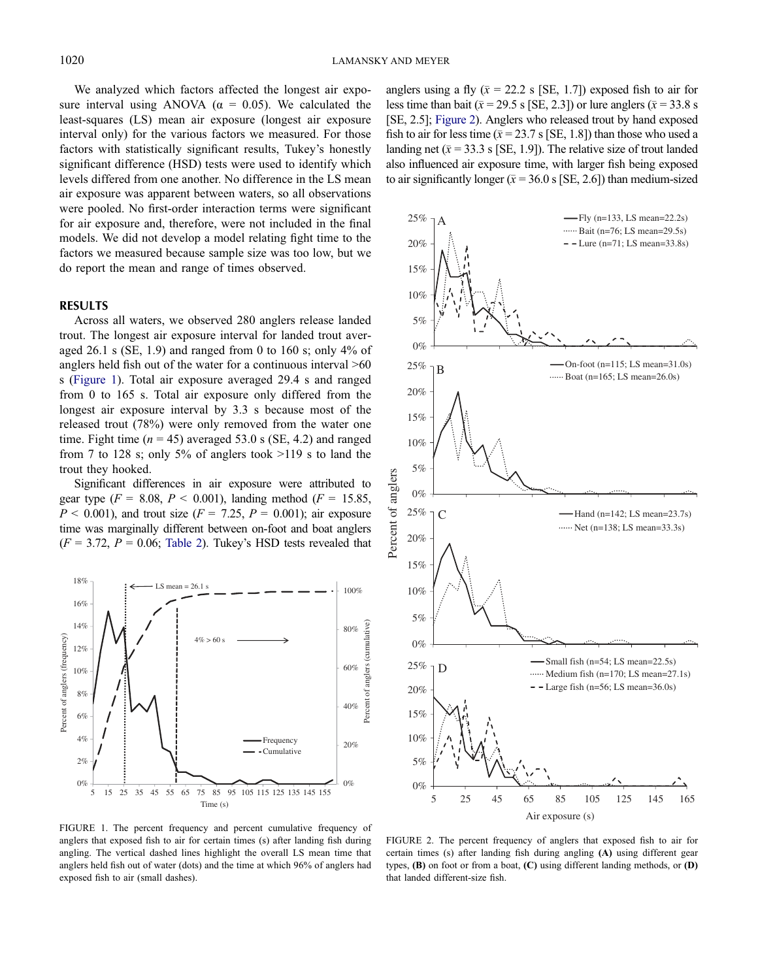We analyzed which factors affected the longest air exposure interval using ANOVA ( $\alpha = 0.05$ ). We calculated the least-squares (LS) mean air exposure (longest air exposure interval only) for the various factors we measured. For those factors with statistically significant results, Tukey's honestly significant difference (HSD) tests were used to identify which levels differed from one another. No difference in the LS mean air exposure was apparent between waters, so all observations were pooled. No first-order interaction terms were significant for air exposure and, therefore, were not included in the final models. We did not develop a model relating fight time to the factors we measured because sample size was too low, but we do report the mean and range of times observed.

#### RESULTS

Across all waters, we observed 280 anglers release landed trout. The longest air exposure interval for landed trout averaged 26.1 s (SE, 1.9) and ranged from 0 to 160 s; only 4% of anglers held fish out of the water for a continuous interval >60 s [\(Figure 1\)](#page-3-0). Total air exposure averaged 29.4 s and ranged from 0 to 165 s. Total air exposure only differed from the longest air exposure interval by 3.3 s because most of the released trout (78%) were only removed from the water one time. Fight time ( $n = 45$ ) averaged 53.0 s (SE, 4.2) and ranged from 7 to 128 s; only 5% of anglers took >119 s to land the trout they hooked.

Significant differences in air exposure were attributed to gear type ( $F = 8.08$ ,  $P < 0.001$ ), landing method ( $F = 15.85$ ,  $P < 0.001$ ), and trout size  $(F = 7.25, P = 0.001)$ ; air exposure time was marginally different between on-foot and boat anglers  $(F = 3.72, P = 0.06;$  [Table 2](#page-4-0)). Tukey's HSD tests revealed that



<span id="page-3-0"></span>FIGURE 1. The percent frequency and percent cumulative frequency of anglers that exposed fish to air for certain times (s) after landing fish during angling. The vertical dashed lines highlight the overall LS mean time that anglers held fish out of water (dots) and the time at which 96% of anglers had exposed fish to air (small dashes).

anglers using a fly ( $\bar{x}$  = 22.2 s [SE, 1.7]) exposed fish to air for less time than bait ( $\bar{x}$  = 29.5 s [SE, 2.3]) or lure anglers ( $\bar{x}$  = 33.8 s [SE, 2.5]; [Figure 2](#page-3-1)). Anglers who released trout by hand exposed fish to air for less time ( $\bar{x}$  = 23.7 s [SE, 1.8]) than those who used a landing net ( $\bar{x}$  = 33.3 s [SE, 1.9]). The relative size of trout landed also influenced air exposure time, with larger fish being exposed to air significantly longer ( $\bar{x}$  = 36.0 s [SE, 2.6]) than medium-sized



<span id="page-3-1"></span>FIGURE 2. The percent frequency of anglers that exposed fish to air for certain times (s) after landing fish during angling (A) using different gear types, (B) on foot or from a boat, (C) using different landing methods, or (D) that landed different-size fish.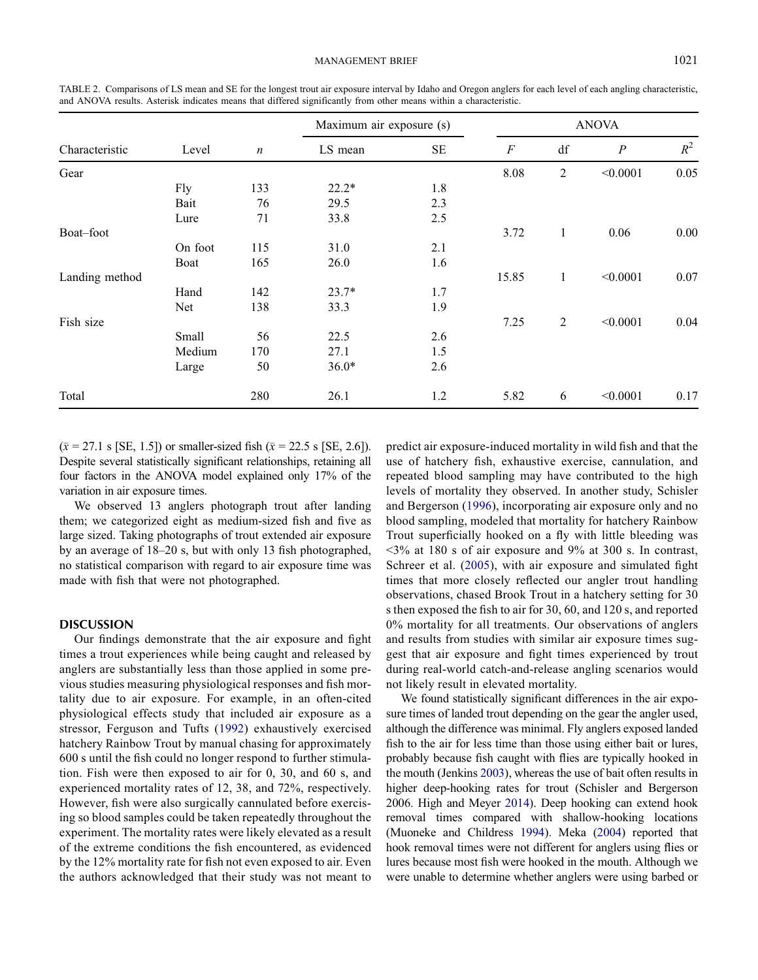| Characteristic | Level   | $\boldsymbol{n}$ | Maximum air exposure (s) |          | <b>ANOVA</b>     |                |                  |       |
|----------------|---------|------------------|--------------------------|----------|------------------|----------------|------------------|-------|
|                |         |                  | LS mean                  | $\rm SE$ | $\boldsymbol{F}$ | df             | $\boldsymbol{P}$ | $R^2$ |
| Gear           |         |                  |                          |          | 8.08             | $\overline{2}$ | < 0.0001         | 0.05  |
|                | Fly     | 133              | $22.2*$                  | 1.8      |                  |                |                  |       |
|                | Bait    | 76               | 29.5                     | 2.3      |                  |                |                  |       |
|                | Lure    | 71               | 33.8                     | 2.5      |                  |                |                  |       |
| Boat-foot      |         |                  |                          |          | 3.72             | $\mathbf{1}$   | 0.06             | 0.00  |
|                | On foot | 115              | 31.0                     | 2.1      |                  |                |                  |       |
|                | Boat    | 165              | 26.0                     | 1.6      |                  |                |                  |       |
| Landing method |         |                  |                          |          | 15.85            | 1              | < 0.0001         | 0.07  |
|                | Hand    | 142              | $23.7*$                  | 1.7      |                  |                |                  |       |
|                | Net     | 138              | 33.3                     | 1.9      |                  |                |                  |       |
| Fish size      |         |                  |                          |          | 7.25             | 2              | < 0.0001         | 0.04  |
|                | Small   | 56               | 22.5                     | 2.6      |                  |                |                  |       |
|                | Medium  | 170              | 27.1                     | 1.5      |                  |                |                  |       |
|                | Large   | 50               | $36.0*$                  | 2.6      |                  |                |                  |       |
| Total          |         | 280              | 26.1                     | 1.2      | 5.82             | 6              | < 0.0001         | 0.17  |

<span id="page-4-0"></span>TABLE 2. Comparisons of LS mean and SE for the longest trout air exposure interval by Idaho and Oregon anglers for each level of each angling characteristic, and ANOVA results. Asterisk indicates means that differed significantly from other means within a characteristic.

 $(\bar{x} = 27.1 \text{ s} [SE, 1.5])$  or smaller-sized fish  $(\bar{x} = 22.5 \text{ s} [SE, 2.6]).$ Despite several statistically significant relationships, retaining all four factors in the ANOVA model explained only 17% of the variation in air exposure times.

We observed 13 anglers photograph trout after landing them; we categorized eight as medium-sized fish and five as large sized. Taking photographs of trout extended air exposure by an average of 18–20 s, but with only 13 fish photographed, no statistical comparison with regard to air exposure time was made with fish that were not photographed.

#### **DISCUSSION**

Our findings demonstrate that the air exposure and fight times a trout experiences while being caught and released by anglers are substantially less than those applied in some previous studies measuring physiological responses and fish mortality due to air exposure. For example, in an often-cited physiological effects study that included air exposure as a stressor, Ferguson and Tufts ([1992](#page-6-17)) exhaustively exercised hatchery Rainbow Trout by manual chasing for approximately 600 s until the fish could no longer respond to further stimulation. Fish were then exposed to air for 0, 30, and 60 s, and experienced mortality rates of 12, 38, and 72%, respectively. However, fish were also surgically cannulated before exercising so blood samples could be taken repeatedly throughout the experiment. The mortality rates were likely elevated as a result of the extreme conditions the fish encountered, as evidenced by the 12% mortality rate for fish not even exposed to air. Even the authors acknowledged that their study was not meant to predict air exposure-induced mortality in wild fish and that the use of hatchery fish, exhaustive exercise, cannulation, and repeated blood sampling may have contributed to the high levels of mortality they observed. In another study, Schisler and Bergerson ([1996](#page-6-14)), incorporating air exposure only and no blood sampling, modeled that mortality for hatchery Rainbow Trout superficially hooked on a fly with little bleeding was  $\leq$ 3% at 180 s of air exposure and 9% at 300 s. In contrast, Schreer et al. ([2005\)](#page-6-24), with air exposure and simulated fight times that more closely reflected our angler trout handling observations, chased Brook Trout in a hatchery setting for 30 s then exposed the fish to air for 30, 60, and 120 s, and reported 0% mortality for all treatments. Our observations of anglers and results from studies with similar air exposure times suggest that air exposure and fight times experienced by trout during real-world catch-and-release angling scenarios would not likely result in elevated mortality.

We found statistically significant differences in the air exposure times of landed trout depending on the gear the angler used, although the difference was minimal. Fly anglers exposed landed fish to the air for less time than those using either bait or lures, probably because fish caught with flies are typically hooked in the mouth (Jenkins [2003\)](#page-6-25), whereas the use of bait often results in higher deep-hooking rates for trout (Schisler and Bergerson 2006. High and Meyer [2014\)](#page-6-11). Deep hooking can extend hook removal times compared with shallow-hooking locations (Muoneke and Childress [1994](#page-6-4)). Meka ([2004](#page-6-26)) reported that hook removal times were not different for anglers using flies or lures because most fish were hooked in the mouth. Although we were unable to determine whether anglers were using barbed or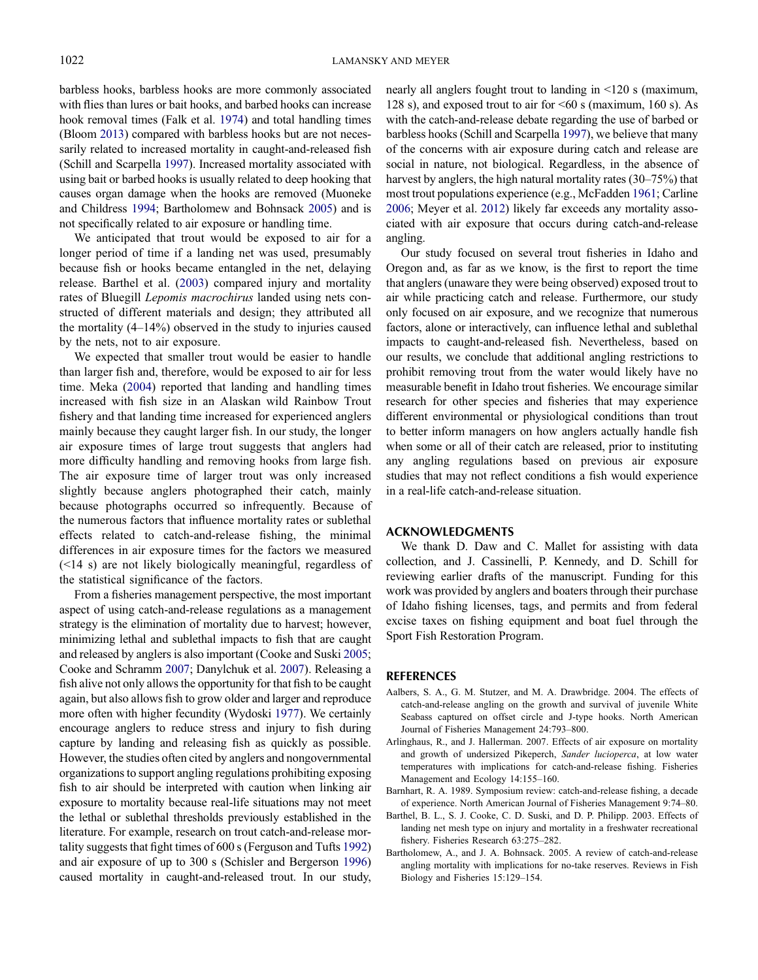barbless hooks, barbless hooks are more commonly associated with flies than lures or bait hooks, and barbed hooks can increase hook removal times (Falk et al. [1974\)](#page-6-27) and total handling times (Bloom [2013](#page-6-28)) compared with barbless hooks but are not necessarily related to increased mortality in caught-and-released fish (Schill and Scarpella [1997](#page-6-29)). Increased mortality associated with using bait or barbed hooks is usually related to deep hooking that causes organ damage when the hooks are removed (Muoneke and Childress [1994;](#page-6-4) Bartholomew and Bohnsack [2005\)](#page-5-1) and is not specifically related to air exposure or handling time.

We anticipated that trout would be exposed to air for a longer period of time if a landing net was used, presumably because fish or hooks became entangled in the net, delaying release. Barthel et al. [\(2003](#page-5-3)) compared injury and mortality rates of Bluegill Lepomis macrochirus landed using nets constructed of different materials and design; they attributed all the mortality (4–14%) observed in the study to injuries caused by the nets, not to air exposure.

We expected that smaller trout would be easier to handle than larger fish and, therefore, would be exposed to air for less time. Meka ([2004\)](#page-6-26) reported that landing and handling times increased with fish size in an Alaskan wild Rainbow Trout fishery and that landing time increased for experienced anglers mainly because they caught larger fish. In our study, the longer air exposure times of large trout suggests that anglers had more difficulty handling and removing hooks from large fish. The air exposure time of larger trout was only increased slightly because anglers photographed their catch, mainly because photographs occurred so infrequently. Because of the numerous factors that influence mortality rates or sublethal effects related to catch-and-release fishing, the minimal differences in air exposure times for the factors we measured (<14 s) are not likely biologically meaningful, regardless of the statistical significance of the factors.

From a fisheries management perspective, the most important aspect of using catch-and-release regulations as a management strategy is the elimination of mortality due to harvest; however, minimizing lethal and sublethal impacts to fish that are caught and released by anglers is also important (Cooke and Suski [2005](#page-6-30); Cooke and Schramm [2007](#page-6-31); Danylchuk et al. [2007\)](#page-6-16). Releasing a fish alive not only allows the opportunity for that fish to be caught again, but also allows fish to grow older and larger and reproduce more often with higher fecundity (Wydoski [1977\)](#page-6-32). We certainly encourage anglers to reduce stress and injury to fish during capture by landing and releasing fish as quickly as possible. However, the studies often cited by anglers and nongovernmental organizations to support angling regulations prohibiting exposing fish to air should be interpreted with caution when linking air exposure to mortality because real-life situations may not meet the lethal or sublethal thresholds previously established in the literature. For example, research on trout catch-and-release mortality suggests that fight times of 600 s (Ferguson and Tufts [1992\)](#page-6-17) and air exposure of up to 300 s (Schisler and Bergerson [1996\)](#page-6-14) caused mortality in caught-and-released trout. In our study,

nearly all anglers fought trout to landing in <120 s (maximum, 128 s), and exposed trout to air for <60 s (maximum, 160 s). As with the catch-and-release debate regarding the use of barbed or barbless hooks (Schill and Scarpella [1997\)](#page-6-29), we believe that many of the concerns with air exposure during catch and release are social in nature, not biological. Regardless, in the absence of harvest by anglers, the high natural mortality rates (30–75%) that most trout populations experience (e.g., McFadden [1961](#page-6-33); Carline [2006;](#page-6-34) Meyer et al. [2012](#page-6-35)) likely far exceeds any mortality associated with air exposure that occurs during catch-and-release angling.

Our study focused on several trout fisheries in Idaho and Oregon and, as far as we know, is the first to report the time that anglers (unaware they were being observed) exposed trout to air while practicing catch and release. Furthermore, our study only focused on air exposure, and we recognize that numerous factors, alone or interactively, can influence lethal and sublethal impacts to caught-and-released fish. Nevertheless, based on our results, we conclude that additional angling restrictions to prohibit removing trout from the water would likely have no measurable benefit in Idaho trout fisheries. We encourage similar research for other species and fisheries that may experience different environmental or physiological conditions than trout to better inform managers on how anglers actually handle fish when some or all of their catch are released, prior to instituting any angling regulations based on previous air exposure studies that may not reflect conditions a fish would experience in a real-life catch-and-release situation.

#### ACKNOWLEDGMENTS

We thank D. Daw and C. Mallet for assisting with data collection, and J. Cassinelli, P. Kennedy, and D. Schill for reviewing earlier drafts of the manuscript. Funding for this work was provided by anglers and boaters through their purchase of Idaho fishing licenses, tags, and permits and from federal excise taxes on fishing equipment and boat fuel through the Sport Fish Restoration Program.

#### **REFERENCES**

- <span id="page-5-2"></span>Aalbers, S. A., G. M. Stutzer, and M. A. Drawbridge. 2004. The effects of catch-and-release angling on the growth and survival of juvenile White Seabass captured on offset circle and J-type hooks. North American Journal of Fisheries Management 24:793–800.
- <span id="page-5-4"></span>Arlinghaus, R., and J. Hallerman. 2007. Effects of air exposure on mortality and growth of undersized Pikeperch, Sander lucioperca, at low water temperatures with implications for catch-and-release fishing. Fisheries Management and Ecology 14:155–160.
- <span id="page-5-0"></span>Barnhart, R. A. 1989. Symposium review: catch-and-release fishing, a decade of experience. North American Journal of Fisheries Management 9:74–80.
- <span id="page-5-3"></span>Barthel, B. L., S. J. Cooke, C. D. Suski, and D. P. Philipp. 2003. Effects of landing net mesh type on injury and mortality in a freshwater recreational fishery. Fisheries Research 63:275–282.
- <span id="page-5-1"></span>Bartholomew, A., and J. A. Bohnsack. 2005. A review of catch-and-release angling mortality with implications for no-take reserves. Reviews in Fish Biology and Fisheries 15:129–154.